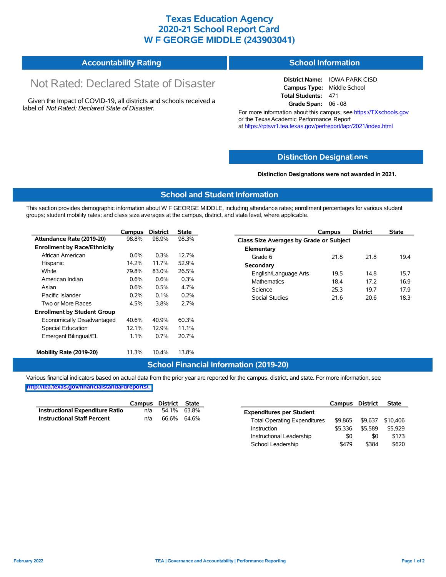## **Texas Education Agency 2020-21 School Report Card W F GEORGE MIDDLE (243903041)**

#### **Accountability Rating School Information**

# Not Rated: Declared State of Disaster

Given the Impact of COVID-19, all districts and schools received a label of *Not Rated: Declared State of Disaster.*

**District Name:** IOWA PARK CISD **Campus Type:** Middle School **Total Students:** 471 **Grade Span:** 06 - 08

For more information about this campus, see https://TXschools.gov or the Texas Academic Performance Report at https://rptsvr1.tea.texas.gov/perfreport/tapr/2021/index.html

#### **Distinction Designat[ions](https://TXschools.gov)**

**Distinction Designations were not awarded in 2021.**

School Leadership  $$479$  \$384 \$620

#### **School and Student Information**

This section provides demographic information about W F GEORGE MIDDLE, including attendance rates; enrollment percentages for various student groups; student mobility rates; and class size averages at the campus, district, and state level, where applicable.

|                                     | <b>Campus</b> | <b>District</b> | <b>State</b> | <b>Campus</b>                           | <b>District</b> | <b>State</b> |
|-------------------------------------|---------------|-----------------|--------------|-----------------------------------------|-----------------|--------------|
| Attendance Rate (2019-20)           | 98.8%         | 98.9%           | 98.3%        | Class Size Averages by Grade or Subject |                 |              |
| <b>Enrollment by Race/Ethnicity</b> |               |                 |              | Elementary                              |                 |              |
| African American                    | $0.0\%$       | 0.3%            | 12.7%        | Grade 6<br>21.8                         | 21.8            |              |
| Hispanic                            | 14.2%         | 11.7%           | 52.9%        | Secondary                               |                 |              |
| White                               | 79.8%         | 83.0%           | 26.5%        | 19.5<br>English/Language Arts           | 14.8            |              |
| American Indian                     | 0.6%          | 0.6%            | 0.3%         | <b>Mathematics</b><br>18.4              | 17.2            |              |
| Asian                               | 0.6%          | 0.5%            | 4.7%         | 25.3<br>Science                         | 19.7            |              |
| Pacific Islander                    | 0.2%          | $0.1\%$         | 0.2%         | <b>Social Studies</b><br>21.6           | 20.6            |              |
| Two or More Races                   | 4.5%          | 3.8%            | 2.7%         |                                         |                 |              |
| <b>Enrollment by Student Group</b>  |               |                 |              |                                         |                 |              |
| Economically Disadvantaged          | 40.6%         | 40.9%           | 60.3%        |                                         |                 |              |
| Special Education                   | 12.1%         | 12.9%           | 11.1%        |                                         |                 |              |
| Emergent Bilingual/EL               | 1.1%          | 0.7%            | 20.7%        |                                         |                 |              |
| Mobility Rate (2019-20)             | 11.3%         | 10.4%           | 13.8%        |                                         |                 |              |

#### **School Financial Information (2019-20)**

Various financial indicators based on actual data from the prior year are reported for the campus, district, and state. For more information, see

**[http://tea.texas.gov/financialstandardreports/.](http://tea.texas.gov/financialstandardreports/)**

|                                        | Campus | District State |             |                                     | Campus  | <b>District</b> | <b>State</b> |
|----------------------------------------|--------|----------------|-------------|-------------------------------------|---------|-----------------|--------------|
| <b>Instructional Expenditure Ratio</b> | n/a    |                | 54.1% 63.8% | <b>Expenditures per Student</b>     |         |                 |              |
| <b>Instructional Staff Percent</b>     | n/a    | 66.6% 64.6%    |             | <b>Total Operating Expenditures</b> | \$9.865 | \$9.637         | \$10.406     |
|                                        |        |                |             | Instruction                         | \$5.336 | \$5.589         | \$5.929      |
|                                        |        |                |             | Instructional Leadership            | \$0     | \$0             | \$173        |